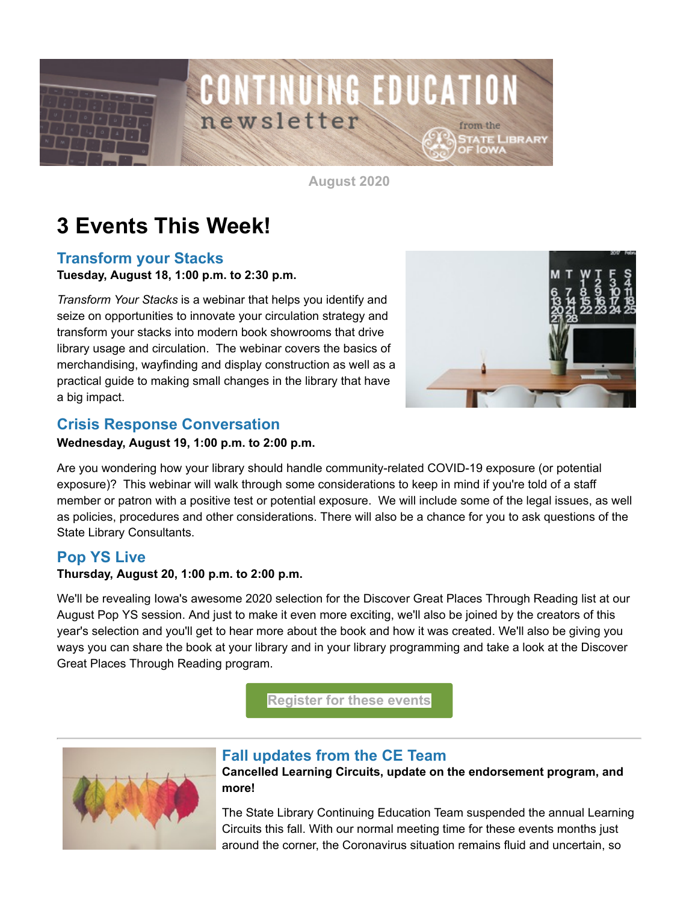

**August 2020**

# **3 Events This Week!**

## **Transform your Stacks**

**Tuesday, August 18, 1:00 p.m. to 2:30 p.m.**

*Transform Your Stacks* is a webinar that helps you identify and seize on opportunities to innovate your circulation strategy and transform your stacks into modern book showrooms that drive library usage and circulation. The webinar covers the basics of merchandising, wayfinding and display construction as well as a practical guide to making small changes in the library that have a big impact.



## **Crisis Response Conversation**

#### **Wednesday, August 19, 1:00 p.m. to 2:00 p.m.**

Are you wondering how your library should handle community-related COVID-19 exposure (or potential exposure)? This webinar will walk through some considerations to keep in mind if you're told of a staff member or patron with a positive test or potential exposure. We will include some of the legal issues, as well as policies, procedures and other considerations. There will also be a chance for you to ask questions of the State Library Consultants.

### **Pop YS Live**

#### **Thursday, August 20, 1:00 p.m. to 2:00 p.m.**

We'll be revealing Iowa's awesome 2020 selection for the Discover Great Places Through Reading list at our August Pop YS session. And just to make it even more exciting, we'll also be joined by the creators of this year's selection and you'll get to hear more about the book and how it was created. We'll also be giving you ways you can share the book at your library and in your library programming and take a look at the Discover Great Places Through Reading program.

**[Register for these events](https://statelibraryofiowa.lmscheckout.com/Course/index?utm_medium=email&utm_source=govdelivery)**



### **Fall updates from the CE Team**

**Cancelled Learning Circuits, update on the endorsement program, and more!**

The State Library Continuing Education Team suspended the annual Learning Circuits this fall. With our normal meeting time for these events months just around the corner, the Coronavirus situation remains fluid and uncertain, so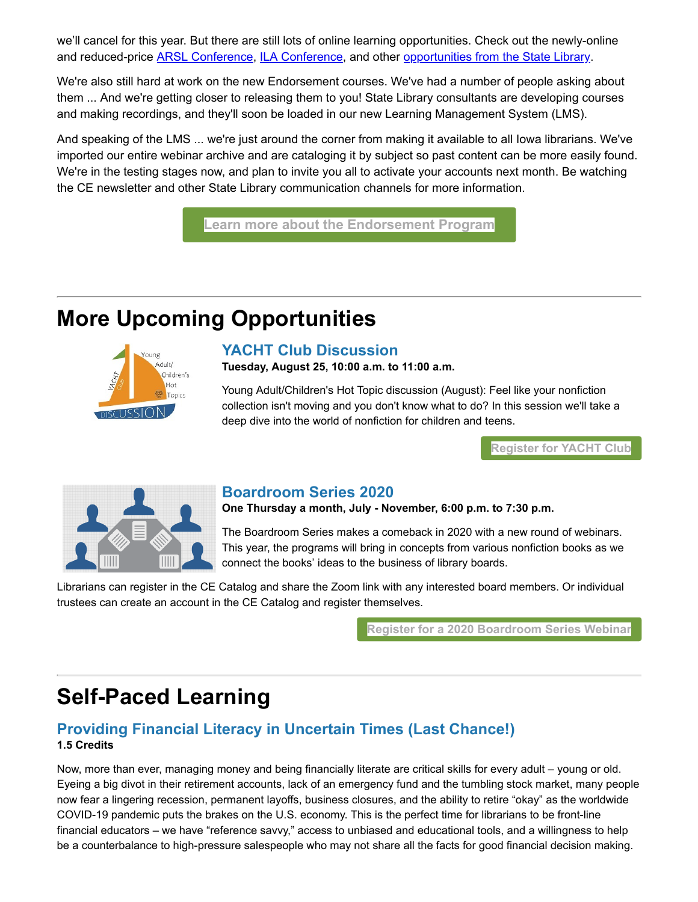we'll cancel for this year. But there are still lots of online learning opportunities. Check out the newly-online and reduced-price [ARSL Conference](https://www.arsl.org/2020-conference-main-page?utm_medium=email&utm_source=govdelivery), [ILA Conference,](https://www.iowalibraryassociation.org/index.php/conference?utm_medium=email&utm_source=govdelivery) and other [opportunities from the State Library](https://statelibraryofiowa.lmscheckout.com/Course/index?utm_medium=email&utm_source=govdelivery).

We're also still hard at work on the new Endorsement courses. We've had a number of people asking about them ... And we're getting closer to releasing them to you! State Library consultants are developing courses and making recordings, and they'll soon be loaded in our new Learning Management System (LMS).

And speaking of the LMS ... we're just around the corner from making it available to all Iowa librarians. We've imported our entire webinar archive and are cataloging it by subject so past content can be more easily found. We're in the testing stages now, and plan to invite you all to activate your accounts next month. Be watching the CE newsletter and other State Library communication channels for more information.

**[Learn more about the Endorsement Program](https://www.statelibraryofiowa.org/ld/c-d/cert/cert-changes?utm_medium=email&utm_source=govdelivery)**

# **More Upcoming Opportunities**



### **YACHT Club Discussion**

**Tuesday, August 25, 10:00 a.m. to 11:00 a.m.**

Young Adult/Children's Hot Topic discussion (August): Feel like your nonfiction collection isn't moving and you don't know what to do? In this session we'll take a deep dive into the world of nonfiction for children and teens.

**[Register for YACHT Club](https://statelibraryofiowa.lmscheckout.com/Course/view/yacht08-1?utm_medium=email&utm_source=govdelivery)**



### **Boardroom Series 2020**

**One Thursday a month, July - November, 6:00 p.m. to 7:30 p.m.**

The Boardroom Series makes a comeback in 2020 with a new round of webinars. This year, the programs will bring in concepts from various nonfiction books as we connect the books' ideas to the business of library boards.

Librarians can register in the CE Catalog and share the Zoom link with any interested board members. Or individual trustees can create an account in the CE Catalog and register themselves.

**[Register for a 2020 Boardroom Series Webinar](https://statelibraryofiowa.lmscheckout.com/Course/index?tags=Trustees%7Cboard+training&utm_medium=email&utm_source=govdelivery)**

## **Self-Paced Learning**

### **Providing Financial Literacy in Uncertain Times (Last Chance!) 1.5 Credits**

Now, more than ever, managing money and being financially literate are critical skills for every adult – young or old. Eyeing a big divot in their retirement accounts, lack of an emergency fund and the tumbling stock market, many people now fear a lingering recession, permanent layoffs, business closures, and the ability to retire "okay" as the worldwide COVID-19 pandemic puts the brakes on the U.S. economy. This is the perfect time for librarians to be front-line financial educators – we have "reference savvy," access to unbiased and educational tools, and a willingness to help be a counterbalance to high-pressure salespeople who may not share all the facts for good financial decision making.